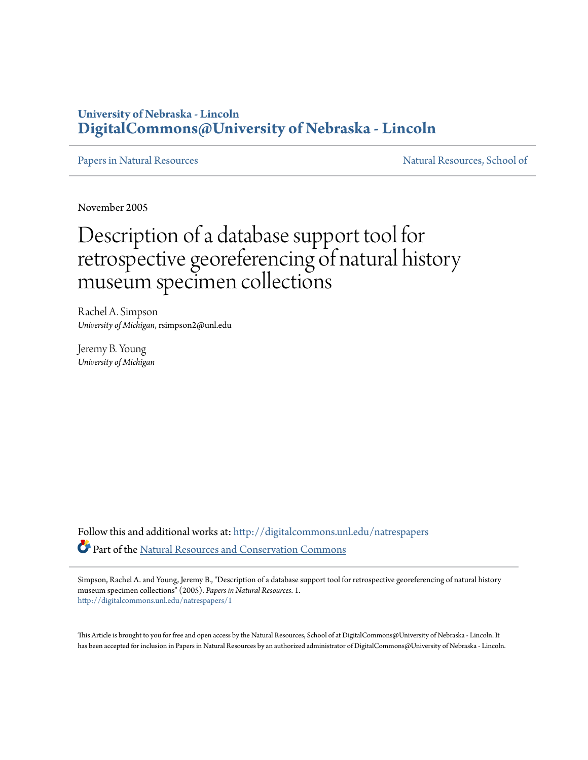# **University of Nebraska - Lincoln [DigitalCommons@University of Nebraska - Lincoln](http://digitalcommons.unl.edu?utm_source=digitalcommons.unl.edu%2Fnatrespapers%2F1&utm_medium=PDF&utm_campaign=PDFCoverPages)**

[Papers in Natural Resources](http://digitalcommons.unl.edu/natrespapers?utm_source=digitalcommons.unl.edu%2Fnatrespapers%2F1&utm_medium=PDF&utm_campaign=PDFCoverPages) and Secure 2012 1999 Matural Resources, School of

November 2005

# Description of a database support tool for retrospective georeferencing of natural history museum specimen collections

Rachel A. Simpson *University of Michigan*, rsimpson2@unl.edu

Jeremy B. Young *University of Michigan*

Follow this and additional works at: [http://digitalcommons.unl.edu/natrespapers](http://digitalcommons.unl.edu/natrespapers?utm_source=digitalcommons.unl.edu%2Fnatrespapers%2F1&utm_medium=PDF&utm_campaign=PDFCoverPages) Part of the [Natural Resources and Conservation Commons](http://network.bepress.com/hgg/discipline/168?utm_source=digitalcommons.unl.edu%2Fnatrespapers%2F1&utm_medium=PDF&utm_campaign=PDFCoverPages)

Simpson, Rachel A. and Young, Jeremy B., "Description of a database support tool for retrospective georeferencing of natural history museum specimen collections" (2005). *Papers in Natural Resources*. 1. [http://digitalcommons.unl.edu/natrespapers/1](http://digitalcommons.unl.edu/natrespapers/1?utm_source=digitalcommons.unl.edu%2Fnatrespapers%2F1&utm_medium=PDF&utm_campaign=PDFCoverPages)

This Article is brought to you for free and open access by the Natural Resources, School of at DigitalCommons@University of Nebraska - Lincoln. It has been accepted for inclusion in Papers in Natural Resources by an authorized administrator of DigitalCommons@University of Nebraska - Lincoln.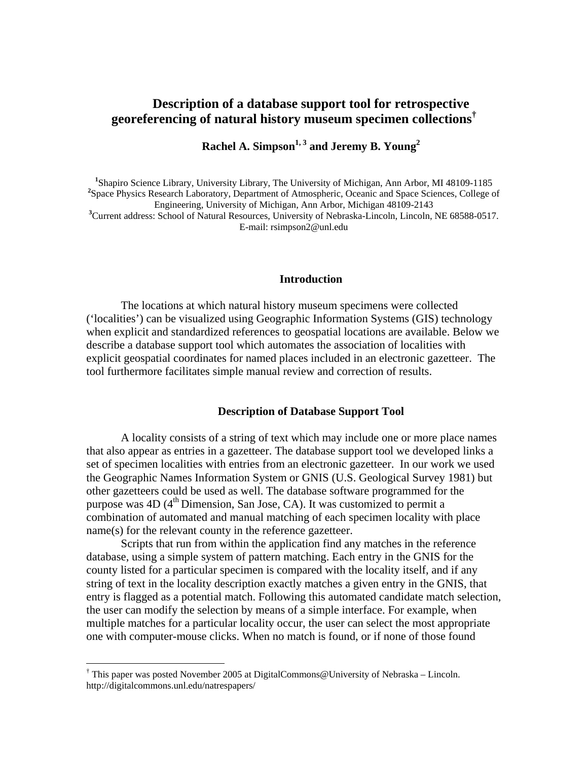## **Description of a database support tool for retrospective georeferencing of natural history museum specimen collections†**

Rachel A. Simpson<sup>1, 3</sup> and Jeremy B. Young<sup>2</sup>

<sup>1</sup>Shapiro Science Library, University Library, The University of Michigan, Ann Arbor, MI 48109-1185<br><sup>2</sup>Shape Physics Bessexek Laberstow, Department of Atmospheria, Oceania and Space Sciences, Gallage <sup>2</sup>Space Physics Research Laboratory, Department of Atmospheric, Oceanic and Space Sciences, College of Engineering, University of Michigan, Ann Arbor, Michigan 48109-2143 <sup>3</sup>Current address: School of Natural Resources, University of Nebraska-Lincoln, Lincoln, NE 68588-0517.

E-mail: rsimpson2@unl.edu

#### **Introduction**

The locations at which natural history museum specimens were collected ('localities') can be visualized using Geographic Information Systems (GIS) technology when explicit and standardized references to geospatial locations are available. Below we describe a database support tool which automates the association of localities with explicit geospatial coordinates for named places included in an electronic gazetteer. The tool furthermore facilitates simple manual review and correction of results.

### **Description of Database Support Tool**

A locality consists of a string of text which may include one or more place names that also appear as entries in a gazetteer. The database support tool we developed links a set of specimen localities with entries from an electronic gazetteer. In our work we used the Geographic Names Information System or GNIS (U.S. Geological Survey 1981) but other gazetteers could be used as well. The database software programmed for the purpose was  $4D (4<sup>th</sup> Dimension, San Jose, CA)$ . It was customized to permit a combination of automated and manual matching of each specimen locality with place name(s) for the relevant county in the reference gazetteer.

Scripts that run from within the application find any matches in the reference database, using a simple system of pattern matching. Each entry in the GNIS for the county listed for a particular specimen is compared with the locality itself, and if any string of text in the locality description exactly matches a given entry in the GNIS, that entry is flagged as a potential match. Following this automated candidate match selection, the user can modify the selection by means of a simple interface. For example, when multiple matches for a particular locality occur, the user can select the most appropriate one with computer-mouse clicks. When no match is found, or if none of those found

1

<sup>†</sup> This paper was posted November 2005 at DigitalCommons@University of Nebraska – Lincoln. http://digitalcommons.unl.edu/natrespapers/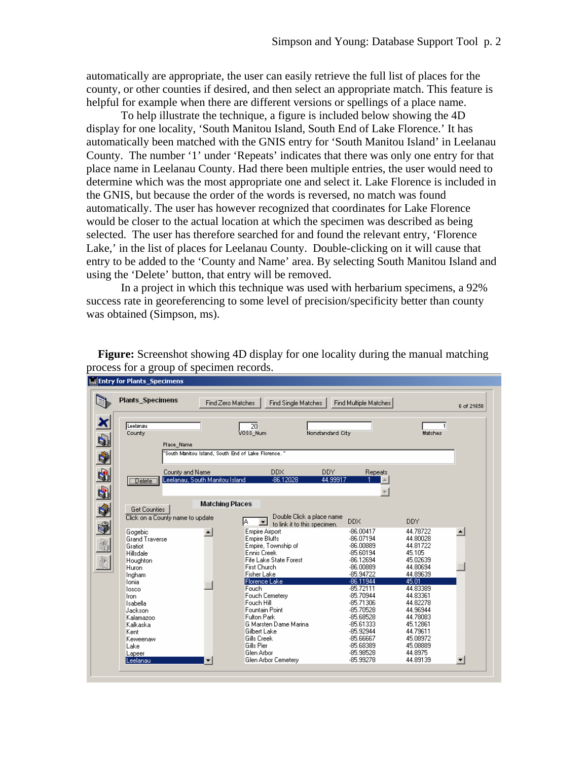automatically are appropriate, the user can easily retrieve the full list of places for the county, or other counties if desired, and then select an appropriate match. This feature is helpful for example when there are different versions or spellings of a place name.

To help illustrate the technique, a figure is included below showing the 4D display for one locality, 'South Manitou Island, South End of Lake Florence.' It has automatically been matched with the GNIS entry for 'South Manitou Island' in Leelanau County. The number '1' under 'Repeats' indicates that there was only one entry for that place name in Leelanau County. Had there been multiple entries, the user would need to determine which was the most appropriate one and select it. Lake Florence is included in the GNIS, but because the order of the words is reversed, no match was found automatically. The user has however recognized that coordinates for Lake Florence would be closer to the actual location at which the specimen was described as being selected. The user has therefore searched for and found the relevant entry, 'Florence Lake,' in the list of places for Leelanau County. Double-clicking on it will cause that entry to be added to the 'County and Name' area. By selecting South Manitou Island and using the 'Delete' button, that entry will be removed.

In a project in which this technique was used with herbarium specimens, a 92% success rate in georeferencing to some level of precision/specificity better than county was obtained (Simpson, ms).

**Entry for Plants\_Specimens Plants\_Specimens** Find Zero Matches Find Single Matches Find Multiple Matches 6 of 21658 × Leelanau ऋ .<br>Matches VOSS\_Num ,<br>Nonstandard City County q) Place\_Name  $\bullet$ "South Manitou Island, South End of Lake Florence  $\blacksquare$ **DDX** DDY County and Name Repeats Leelanau, South Manitou Island Delete<sup>1</sup> 86 1202 44,99913  $\left| \right|$  $\mathbf{r}$ 회 **Matching Places**  $\bullet$ Get Counties Double Click a place name Click on a County name to update  $\sqrt{A}$ to link it to this specimen.<br>Site Airport **DDX DDY** \$ Gogebic Empire Airport  $-86.00417$ 44.78722 ᅬ ∸ Grand Traverse Empire Bluffs -86.07194 44 80028 再  $-86,00889$ 44.81722 Gratiot Empire, Township of  $-85.60194$ 45.105 Hillsdale Ennis Creek  $|\mathbb{R}|$ Fife Lake State Forest  $-86.12694$ 45.02639 Houghton Huron **First Church**  $-86.00889$ 44.80694 **Fisher Lake** Ingham -85.94722 44.89639  $-86.11944$ Florence Lake 45.01 Ionia 44.83389 losco Fouch  $-85.72111$ Fouch Cemetery  $-85.70944$ 44.83361 Iron 44.82278 Isabella Fouch Hill  $-85.71306$ Jackson Fountain Point -85.70528 44.96944 Kalamazoo **Fulton Park** -85 68528 44 78083 G Marsten Dame Marina 45.12861 -85.61333 Kalkaska Gilbert Lake  $-85.92944$ 44.79611 Kent 45.08972 Gills Creek -85,66667 Keweenaw Gills Pier -85.68389 45.08889 Lake Glen Arbor -85.98528 44 8975 Lapee Glen Arbor Cemetery 44 89139 -85.99278 Leelanau ⊡ ப

**Figure:** Screenshot showing 4D display for one locality during the manual matching process for a group of specimen records.